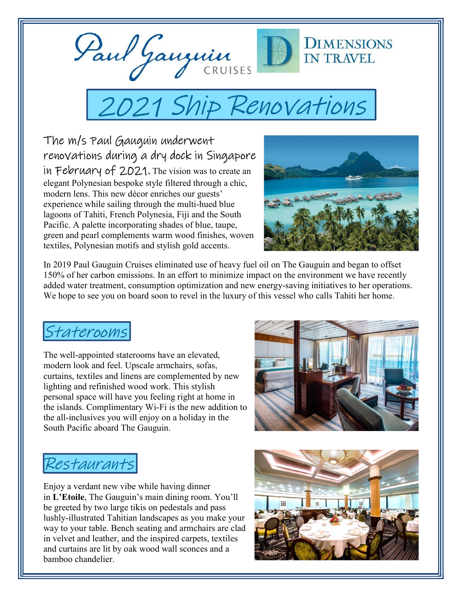

# 2021 Ship Renovations

The m/s Paul Gauguin underwent renovations during a dry dock in Singapore in February of 2021. The vision was to create an elegant Polynesian bespoke style filtered through a chic, modern lens. This new décor enriches our guests' experience while sailing through the multi-hued blue lagoons of Tahiti, French Polynesia, Fiji and the South Pacific. A palette incorporating shades of blue, taupe, green and pearl complements warm wood finishes, woven textiles, Polynesian motifs and stylish gold accents.



In 2019 Paul Gauguin Cruises eliminated use of heavy fuel oil on The Gauguin and began to offset 150% of her carbon emissions. In an effort to minimize impact on the environment we have recently added water treatment, consumption optimization and new energy-saving initiatives to her operations. We hope to see you on board soon to revel in the luxury of this vessel who calls Tahiti her home.

## Staterooms

The well-appointed staterooms have an elevated, modern look and feel. Upscale armchairs, sofas, curtains, textiles and linens are complemented by new lighting and refinished wood work. This stylish personal space will have you feeling right at home in the islands. Complimentary Wi-Fi is the new addition to the all-inclusives you will enjoy on a holiday in the South Pacific aboard The Gauguin.



# Restaurants

Enjoy a verdant new vibe while having dinner in L'Etoile, The Gauguin's main dining room. You'll be greeted by two large tikis on pedestals and pass lushly-illustrated Tahitian landscapes as you make your way to your table. Bench seating and armchairs are clad in velvet and leather, and the inspired carpets, textiles and curtains are lit by oak wood wall sconces and a bamboo chandelier.

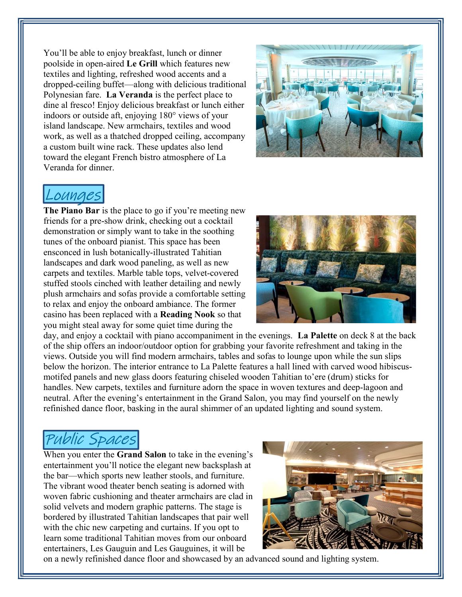You'll be able to enjoy breakfast, lunch or dinner poolside in open-aired Le Grill which features new textiles and lighting, refreshed wood accents and a dropped-ceiling buffet—along with delicious traditional Polynesian fare. La Veranda is the perfect place to dine al fresco! Enjoy delicious breakfast or lunch either indoors or outside aft, enjoying 180° views of your island landscape. New armchairs, textiles and wood work, as well as a thatched dropped ceiling, accompany a custom built wine rack. These updates also lend toward the elegant French bistro atmosphere of La Veranda for dinner.



#### Lounge

The Piano Bar is the place to go if you're meeting new friends for a pre-show drink, checking out a cocktail demonstration or simply want to take in the soothing tunes of the onboard pianist. This space has been ensconced in lush botanically-illustrated Tahitian landscapes and dark wood paneling, as well as new carpets and textiles. Marble table tops, velvet-covered stuffed stools cinched with leather detailing and newly plush armchairs and sofas provide a comfortable setting to relax and enjoy the onboard ambiance. The former casino has been replaced with a Reading Nook so that you might steal away for some quiet time during the



day, and enjoy a cocktail with piano accompaniment in the evenings. La Palette on deck 8 at the back of the ship offers an indoor/outdoor option for grabbing your favorite refreshment and taking in the views. Outside you will find modern armchairs, tables and sofas to lounge upon while the sun slips below the horizon. The interior entrance to La Palette features a hall lined with carved wood hibiscusmotifed panels and new glass doors featuring chiseled wooden Tahitian to'ere (drum) sticks for handles. New carpets, textiles and furniture adorn the space in woven textures and deep-lagoon and neutral. After the evening's entertainment in the Grand Salon, you may find yourself on the newly refinished dance floor, basking in the aural shimmer of an updated lighting and sound system.

## Public Spaces

When you enter the **Grand Salon** to take in the evening's entertainment you'll notice the elegant new backsplash at the bar—which sports new leather stools, and furniture. The vibrant wood theater bench seating is adorned with woven fabric cushioning and theater armchairs are clad in solid velvets and modern graphic patterns. The stage is bordered by illustrated Tahitian landscapes that pair well with the chic new carpeting and curtains. If you opt to learn some traditional Tahitian moves from our onboard entertainers, Les Gauguin and Les Gauguines, it will be



on a newly refinished dance floor and showcased by an advanced sound and lighting system.